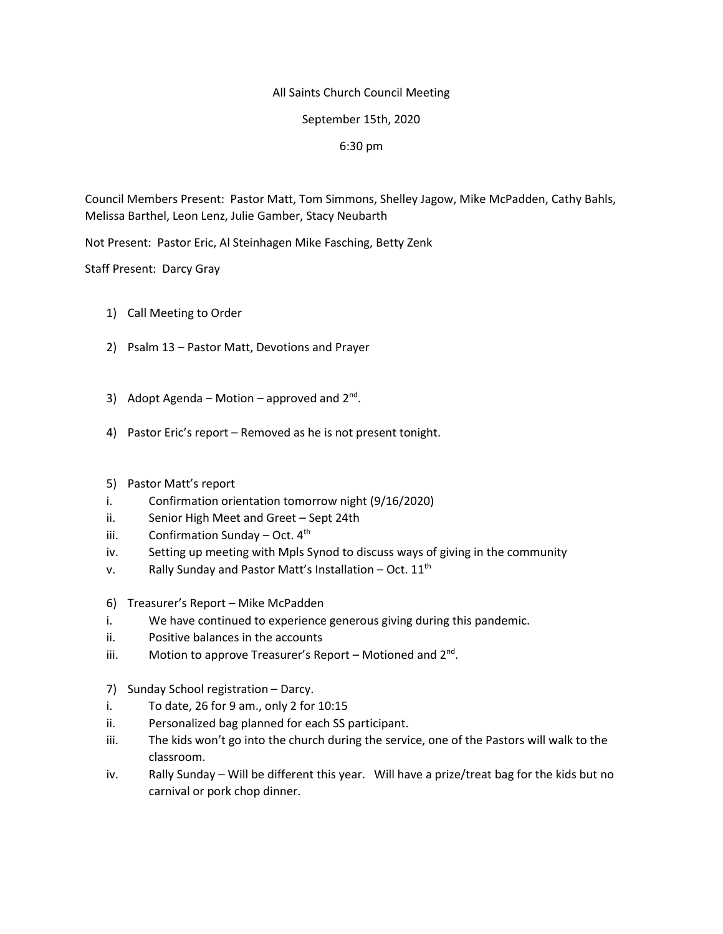## All Saints Church Council Meeting

## September 15th, 2020

## 6:30 pm

Council Members Present: Pastor Matt, Tom Simmons, Shelley Jagow, Mike McPadden, Cathy Bahls, Melissa Barthel, Leon Lenz, Julie Gamber, Stacy Neubarth

Not Present: Pastor Eric, Al Steinhagen Mike Fasching, Betty Zenk

Staff Present: Darcy Gray

- 1) Call Meeting to Order
- 2) Psalm 13 Pastor Matt, Devotions and Prayer
- 3) Adopt Agenda Motion approved and  $2^{nd}$ .
- 4) Pastor Eric's report Removed as he is not present tonight.
- 5) Pastor Matt's report
- i. Confirmation orientation tomorrow night (9/16/2020)
- ii. Senior High Meet and Greet Sept 24th
- iii. Confirmation Sunday Oct.  $4<sup>th</sup>$
- iv. Setting up meeting with Mpls Synod to discuss ways of giving in the community
- v. Rally Sunday and Pastor Matt's Installation Oct.  $11<sup>th</sup>$
- 6) Treasurer's Report Mike McPadden
- i. We have continued to experience generous giving during this pandemic.
- ii. Positive balances in the accounts
- iii. Motion to approve Treasurer's Report Motioned and 2<sup>nd</sup>.
- 7) Sunday School registration Darcy.
- i. To date, 26 for 9 am., only 2 for 10:15
- ii. Personalized bag planned for each SS participant.
- iii. The kids won't go into the church during the service, one of the Pastors will walk to the classroom.
- iv. Rally Sunday Will be different this year. Will have a prize/treat bag for the kids but no carnival or pork chop dinner.